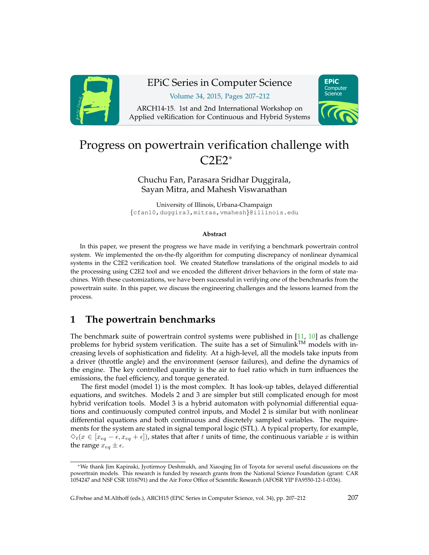

# EPiC Series in Computer Science

Volume 34, 2015, Pages 207–212

ARCH14-15. 1st and 2nd International Workshop on Applied veRification for Continuous and Hybrid Systems



## Progress on powertrain verification challenge with C2E2<sup>∗</sup>

Chuchu Fan, Parasara Sridhar Duggirala, Sayan Mitra, and Mahesh Viswanathan

University of Illinois, Urbana-Champaign {cfan10,duggira3,mitras,vmahesh}@illinois.edu

#### **Abstract**

In this paper, we present the progress we have made in verifying a benchmark powertrain control system. We implemented the on-the-fly algorithm for computing discrepancy of nonlinear dynamical systems in the C2E2 verification tool. We created Stateflow translations of the original models to aid the processing using C2E2 tool and we encoded the different driver behaviors in the form of state machines. With these customizations, we have been successful in verifying one of the benchmarks from the powertrain suite. In this paper, we discuss the engineering challenges and the lessons learned from the process.

## **1 The powertrain benchmarks**

The benchmark suite of powertrain control systems were published in  $[11, 10]$  $[11, 10]$  $[11, 10]$  as challenge problems for hybrid system verification. The suite has a set of Simulink™ models with increasing levels of sophistication and fidelity. At a high-level, all the models take inputs from a driver (throttle angle) and the environment (sensor failures), and define the dynamics of the engine. The key controlled quantity is the air to fuel ratio which in turn influences the emissions, the fuel efficiency, and torque generated.

The first model (model 1) is the most complex. It has look-up tables, delayed differential equations, and switches. Models 2 and 3 are simpler but still complicated enough for most hybrid verifcation tools. Model 3 is a hybrid automaton with polynomial differential equations and continuously computed control inputs, and Model 2 is similar but with nonlinear differential equations and both continuous and discretely sampled variables. The requirements for the system are stated in signal temporal logic (STL). A typical property, for example,  $\Diamond_t(x \in [x_{eq} - \epsilon, x_{eq} + \epsilon])$ , states that after t units of time, the continuous variable x is within the range  $x_{eq} \pm \epsilon$ .

<sup>∗</sup>We thank Jim Kapinski, Jyotirmoy Deshmukh, and Xiaoqing Jin of Toyota for several useful discussions on the powertrain models. This research is funded by research grants from the National Science Foundation (grant: CAR 1054247 and NSF CSR 1016791) and the Air Force Office of Scientific Research (AFOSR YIP FA9550-12-1-0336).

G.Frehse and M.Althoff (eds.), ARCH15 (EPiC Series in Computer Science, vol. 34), pp. 207–212 207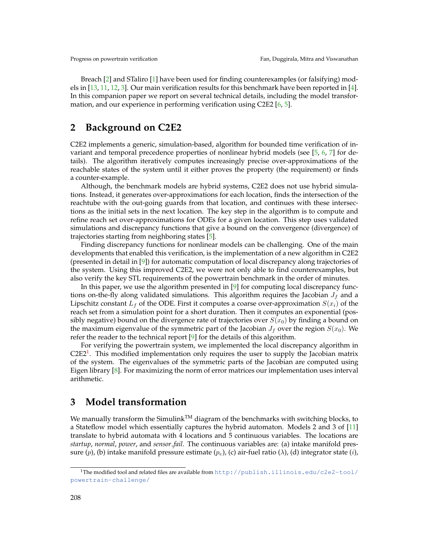Breach [\[2\]](#page-5-2) and STaliro [\[1\]](#page-5-3) have been used for finding counterexamples (or falsifying) models in [\[13,](#page-5-4) [11,](#page-5-0) [12,](#page-5-5) [3\]](#page-5-6). Our main verification results for this benchmark have been reported in [\[4\]](#page-5-7). In this companion paper we report on several technical details, including the model transformation, and our experience in performing verification using C2E2 [\[6,](#page-5-8) [5\]](#page-5-9).

### **2 Background on C2E2**

C2E2 implements a generic, simulation-based, algorithm for bounded time verification of invariant and temporal precedence properties of nonlinear hybrid models (see [\[5,](#page-5-9) [6,](#page-5-8) [7\]](#page-5-10) for details). The algorithm iteratively computes increasingly precise over-approximations of the reachable states of the system until it either proves the property (the requirement) or finds a counter-example.

Although, the benchmark models are hybrid systems, C2E2 does not use hybrid simulations. Instead, it generates over-approximations for each location, finds the intersection of the reachtube with the out-going guards from that location, and continues with these intersections as the initial sets in the next location. The key step in the algorithm is to compute and refine reach set over-approximations for ODEs for a given location. This step uses validated simulations and discrepancy functions that give a bound on the convergence (divergence) of trajectories starting from neighboring states [\[5\]](#page-5-9).

Finding discrepancy functions for nonlinear models can be challenging. One of the main developments that enabled this verification, is the implementation of a new algorithm in C2E2 (presented in detail in [\[9\]](#page-5-11)) for automatic computation of local discrepancy along trajectories of the system. Using this improved C2E2, we were not only able to find counterexamples, but also verify the key STL requirements of the powertrain benchmark in the order of minutes.

In this paper, we use the algorithm presented in [\[9\]](#page-5-11) for computing local discrepancy functions on-the-fly along validated simulations. This algorithm requires the Jacobian  $J_f$  and a Lipschitz constant  $L_f$  of the ODE. First it computes a coarse over-approximation  $S(x_i)$  of the reach set from a simulation point for a short duration. Then it computes an exponential (possibly negative) bound on the divergence rate of trajectories over  $S(x_0)$  by finding a bound on the maximum eigenvalue of the symmetric part of the Jacobian  $J_f$  over the region  $S(x_0)$ . We refer the reader to the technical report [\[9\]](#page-5-11) for the details of this algorithm.

For verifying the powertrain system, we implemented the local discrepancy algorithm in  $C2E2<sup>1</sup>$  $C2E2<sup>1</sup>$  $C2E2<sup>1</sup>$ . This modified implementation only requires the user to supply the Jacobian matrix of the system. The eigenvalues of the symmetric parts of the Jacobian are computed using Eigen library [\[8\]](#page-5-12). For maximizing the norm of error matrices our implementation uses interval arithmetic.

### **3 Model transformation**

We manually transform the Simulink<sup>TM</sup> diagram of the benchmarks with switching blocks, to a Stateflow model which essentially captures the hybrid automaton. Models 2 and 3 of [\[11\]](#page-5-0) translate to hybrid automata with 4 locations and 5 continuous variables. The locations are *startup*, *normal*, *power*, and *sensor fail*. The continuous variables are: (a) intake manifold pressure (p), (b) intake manifold pressure estimate (p<sub>e</sub>), (c) air-fuel ratio ( $\lambda$ ), (d) integrator state (*i*),

<span id="page-1-0"></span><sup>1</sup>The modified tool and related files are available from [http://publish.illinois.edu/c2e2-tool/](http://publish.illinois.edu/c2e2-tool/powertrain-challenge/) [powertrain-challenge/](http://publish.illinois.edu/c2e2-tool/powertrain-challenge/)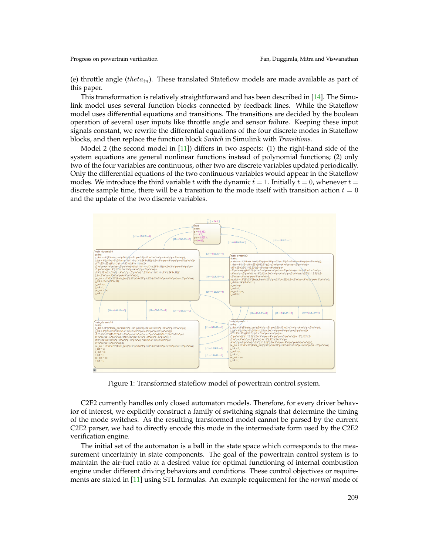(e) throttle angle (theta<sub>in</sub>). These translated Stateflow models are made available as part of this paper.

This transformation is relatively straightforward and has been described in [\[14\]](#page-5-13). The Simulink model uses several function blocks connected by feedback lines. While the Stateflow model uses differential equations and transitions. The transitions are decided by the boolean operation of several user inputs like throttle angle and sensor failure. Keeping these input signals constant, we rewrite the differential equations of the four discrete modes in Stateflow blocks, and then replace the function block *Switch* in Simulink with *Transitions*.

Model 2 (the second model in  $[11]$ ) differs in two aspects: (1) the right-hand side of the system equations are general nonlinear functions instead of polynomial functions; (2) only two of the four variables are continuous, other two are discrete variables updated periodically. Only the differential equations of the two continuous variables would appear in the Stateflow modes. We introduce the third variable t with the dynamic  $t = 1$ . Initially  $t = 0$ , whenever  $t =$ discrete sample time, there will be a transition to the mode itself with transition action  $t = 0$ and the update of the two discrete variables.



Figure 1: Transformed stateflow model of powertrain control system.

C2E2 currently handles only closed automaton models. Therefore, for every driver behavior of interest, we explicitly construct a family of switching signals that determine the timing of the mode switches. As the resulting transformed model cannot be parsed by the current C2E2 parser, we had to directly encode this mode in the intermediate form used by the C2E2 verification engine.

The initial set of the automaton is a ball in the state space which corresponds to the measurement uncertainty in state components. The goal of the powertrain control system is to maintain the air-fuel ratio at a desired value for optimal functioning of internal combustion engine under different driving behaviors and conditions. These control objectives or requirements are stated in [\[11\]](#page-5-0) using STL formulas. An example requirement for the *normal* mode of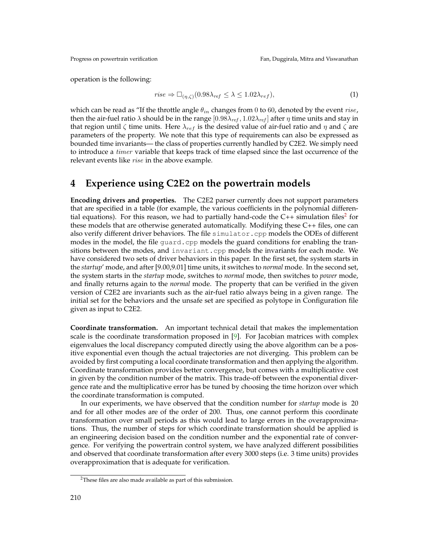operation is the following:

$$
rise \Rightarrow \Box_{(\eta,\zeta)}(0.98\lambda_{ref} \le \lambda \le 1.02\lambda_{ref}),\tag{1}
$$

which can be read as "If the throttle angle  $\theta_{in}$  changes from 0 to 60, denoted by the event *rise*, then the air-fuel ratio  $\lambda$  should be in the range  $[0.98\lambda_{ref}, 1.02\lambda_{ref}]$  after  $\eta$  time units and stay in that region until  $\zeta$  time units. Here  $\lambda_{ref}$  is the desired value of air-fuel ratio and  $\eta$  and  $\zeta$  are parameters of the property. We note that this type of requirements can also be expressed as bounded time invariants— the class of properties currently handled by C2E2. We simply need to introduce a timer variable that keeps track of time elapsed since the last occurrence of the relevant events like rise in the above example.

## **4 Experience using C2E2 on the powertrain models**

**Encoding drivers and properties.** The C2E2 parser currently does not support parameters that are specified in a table (for example, the various coefficients in the polynomial differential equations). For this reason, we had to partially hand-code the  $C++$  simulation files<sup>[2](#page-3-0)</sup> for these models that are otherwise generated automatically. Modifying these C++ files, one can also verify different driver behaviors. The file simulator.cpp models the ODEs of different modes in the model, the file guard.cpp models the guard conditions for enabling the transitions between the modes, and invariant.cpp models the invariants for each mode. We have considered two sets of driver behaviors in this paper. In the first set, the system starts in the *startup*' mode, and after [9.00,9.01] time units, it switches to *normal* mode. In the second set, the system starts in the *startup* mode, switches to *normal* mode, then switches to *power* mode, and finally returns again to the *normal* mode. The property that can be verified in the given version of C2E2 are invariants such as the air-fuel ratio always being in a given range. The initial set for the behaviors and the unsafe set are specified as polytope in Configuration file given as input to C2E2.

**Coordinate transformation.** An important technical detail that makes the implementation scale is the coordinate transformation proposed in  $[9]$ . For Jacobian matrices with complex eigenvalues the local discrepancy computed directly using the above algorithm can be a positive exponential even though the actual trajectories are not diverging. This problem can be avoided by first computing a local coordinate transformation and then applying the algorithm. Coordinate transformation provides better convergence, but comes with a multiplicative cost in given by the condition number of the matrix. This trade-off between the exponential divergence rate and the multiplicative error has be tuned by choosing the time horizon over which the coordinate transformation is computed.

In our experiments, we have observed that the condition number for *startup* mode is 20 and for all other modes are of the order of 200. Thus, one cannot perform this coordinate transformation over small periods as this would lead to large errors in the overapproximations. Thus, the number of steps for which coordinate transformation should be applied is an engineering decision based on the condition number and the exponential rate of convergence. For verifying the powertrain control system, we have analyzed different possibilities and observed that coordinate transformation after every 3000 steps (i.e. 3 time units) provides overapproximation that is adequate for verification.

<span id="page-3-0"></span><sup>2</sup>These files are also made available as part of this submission.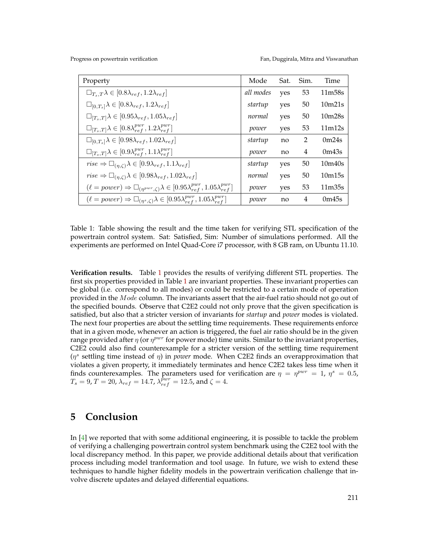Progress on powertrain verification Fan, Duggirala, Mitra and Viswanathan

<span id="page-4-0"></span>

| Property                                                                                                              | Mode      | Sat. | Sim.           | Time                            |
|-----------------------------------------------------------------------------------------------------------------------|-----------|------|----------------|---------------------------------|
| $\Box_{T_s,T}\lambda\in[0.8\lambda_{ref},1.2\lambda_{ref}]$                                                           | all modes | yes  | 53             | 11m58s                          |
| $\Box_{[0,T_s]}\lambda\in[0.8\lambda_{ref},1.2\lambda_{ref}]$                                                         | startup   | yes  | 50             | 10m21s                          |
| $\Box_{[T_s,T]}\lambda\in[0.95\lambda_{ref},1.05\lambda_{ref}]$                                                       | normal    | yes  | 50             | 10 <sub>m</sub> 28 <sub>s</sub> |
| $\Box_{[T_s,T]}\lambda \in [0.8\lambda_{ref}^{pwr}, 1.2\lambda_{ref}^{pwr}]$                                          | power     | yes  | 53             | 11m12s                          |
| $\Box_{[0,T_s]}\lambda\in[0.98\lambda_{ref},1.02\lambda_{ref}]$                                                       | startup   | no   | $\overline{2}$ | 0m24s                           |
| $\Box_{[T_s,T]}\lambda\in[0.9\lambda_{ref}^{pwr},1.1\lambda_{ref}^{pwr}]$                                             | power     | no   | 4              | 0m43s                           |
| $rise \Rightarrow \Box_{(n,\zeta)}\lambda \in [0.9\lambda_{ref}, 1.1\lambda_{ref}]$                                   | startup   | yes  | 50             | 10 <sub>m40s</sub>              |
| $rise \Rightarrow \Box_{(n,\zeta)}\lambda \in [0.98\lambda_{ref}, 1.02\lambda_{ref}]$                                 | normal    | yes  | 50             | 10m15s                          |
| $(\ell = power) \Rightarrow \Box_{(n^{pwr}, \zeta)} \lambda \in [0.95 \lambda_{ref}^{pwr}, 1.05 \lambda_{ref}^{pwr}]$ | power     | yes  | 53             | 11 <sub>m35s</sub>              |
| $(\ell = power) \Rightarrow \Box_{(\eta^s, \zeta)} \lambda \in [0.95 \lambda_{ref}^{pwr}, 1.05 \lambda_{ref}^{pwr}]$  | power     | no   | 4              | 0 <sub>m45s</sub>               |

Table 1: Table showing the result and the time taken for verifying STL specification of the powertrain control system. Sat: Satisfied, Sim: Number of simulations performed. All the experiments are performed on Intel Quad-Core i7 processor, with 8 GB ram, on Ubuntu 11.10.

**Verification results.** Table [1](#page-4-0) provides the results of verifying different STL properties. The first six properties provided in Table [1](#page-4-0) are invariant properties. These invariant properties can be global (i.e. correspond to all modes) or could be restricted to a certain mode of operation provided in the Mode column. The invariants assert that the air-fuel ratio should not go out of the specified bounds. Observe that C2E2 could not only prove that the given specification is satisfied, but also that a stricter version of invariants for *startup* and *power* modes is violated. The next four properties are about the settling time requirements. These requirements enforce that in a given mode, whenever an action is triggered, the fuel air ratio should be in the given range provided after  $\eta$  (or  $\eta^{pur}$  for power mode) time units. Similar to the invariant properties, C2E2 could also find counterexample for a stricter version of the settling time requirement ( $\eta^s$  settling time instead of  $\eta$ ) in *power* mode. When C2E2 finds an overapproximation that violates a given property, it immediately terminates and hence C2E2 takes less time when it finds counterexamples. The parameters used for verification are  $\eta = \eta^{pwr} = 1$ ,  $\eta^s = 0.5$ ,  $T_s=9$ ,  $T=20$ ,  $\lambda_{ref}=14.7$ ,  $\lambda_{ref}^{\tilde{p}wr}=12.5$ , and  $\zeta=4.7$ 

### **5 Conclusion**

In [\[4\]](#page-5-7) we reported that with some additional engineering, it is possible to tackle the problem of verifying a challenging powertrain control system benchmark using the C2E2 tool with the local discrepancy method. In this paper, we provide additional details about that verification process including model tranformation and tool usage. In future, we wish to extend these techniques to handle higher fidelity models in the powertrain verification challenge that involve discrete updates and delayed differential equations.